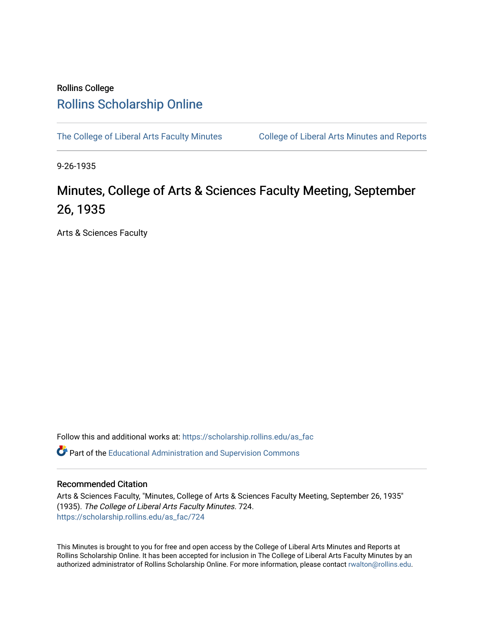## Rollins College [Rollins Scholarship Online](https://scholarship.rollins.edu/)

[The College of Liberal Arts Faculty Minutes](https://scholarship.rollins.edu/as_fac) College of Liberal Arts Minutes and Reports

9-26-1935

## Minutes, College of Arts & Sciences Faculty Meeting, September 26, 1935

Arts & Sciences Faculty

Follow this and additional works at: [https://scholarship.rollins.edu/as\\_fac](https://scholarship.rollins.edu/as_fac?utm_source=scholarship.rollins.edu%2Fas_fac%2F724&utm_medium=PDF&utm_campaign=PDFCoverPages) 

**P** Part of the [Educational Administration and Supervision Commons](http://network.bepress.com/hgg/discipline/787?utm_source=scholarship.rollins.edu%2Fas_fac%2F724&utm_medium=PDF&utm_campaign=PDFCoverPages)

## Recommended Citation

Arts & Sciences Faculty, "Minutes, College of Arts & Sciences Faculty Meeting, September 26, 1935" (1935). The College of Liberal Arts Faculty Minutes. 724. [https://scholarship.rollins.edu/as\\_fac/724](https://scholarship.rollins.edu/as_fac/724?utm_source=scholarship.rollins.edu%2Fas_fac%2F724&utm_medium=PDF&utm_campaign=PDFCoverPages) 

This Minutes is brought to you for free and open access by the College of Liberal Arts Minutes and Reports at Rollins Scholarship Online. It has been accepted for inclusion in The College of Liberal Arts Faculty Minutes by an authorized administrator of Rollins Scholarship Online. For more information, please contact [rwalton@rollins.edu](mailto:rwalton@rollins.edu).